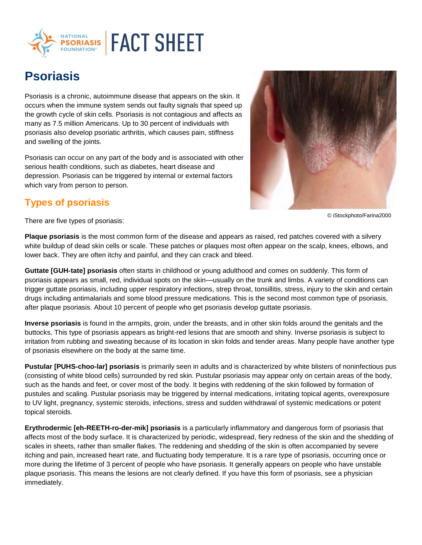

## **Psoriasis**

Psoriasis is a chronic, autoimmune disease that appears on the skin. It occurs when the immune system sends out faulty signals that speed up the growth cycle of skin cells. Psoriasis is not contagious and affects as many as 7.5 million Americans. Up to 30 percent of individuals with psoriasis also develop psoriatic arthritis, which causes pain, stiffness and swelling of the joints.

Psoriasis can occur on any part of the body and is associated with other serious health conditions, such as diabetes, heart disease and depression. Psoriasis can be triggered by internal or external factors which vary from person to person.





© iStockphoto/Farina2000

There are five types of psoriasis:

**Plaque psoriasis** is the most common form of the disease and appears as raised, red patches covered with a silvery white buildup of dead skin cells or scale. These patches or plaques most often appear on the scalp, knees, elbows, and lower back. They are often itchy and painful, and they can crack and bleed.

**Guttate [GUH-tate] psoriasis** often starts in childhood or young adulthood and comes on suddenly. This form of psoriasis appears as small, red, individual spots on the skin—usually on the trunk and limbs. A variety of conditions can trigger guttate psoriasis, including upper respiratory infections, strep throat, tonsillitis, stress, injury to the skin and certain drugs including antimalarials and some blood pressure medications. This is the second most common type of psoriasis, after plaque psoriasis. About 10 percent of people who get psoriasis develop guttate psoriasis.

**Inverse psoriasis** is found in the armpits, groin, under the breasts, and in other skin folds around the genitals and the buttocks. This type of psoriasis appears as bright-red lesions that are smooth and shiny. Inverse psoriasis is subject to irritation from rubbing and sweating because of its location in skin folds and tender areas. Many people have another type of psoriasis elsewhere on the body at the same time.

**Pustular [PUHS-choo-lar] psoriasis** is primarily seen in adults and is characterized by white blisters of noninfectious pus (consisting of white blood cells) surrounded by red skin. Pustular psoriasis may appear only on certain areas of the body, such as the hands and feet, or cover most of the body. It begins with reddening of the skin followed by formation of pustules and scaling. Pustular psoriasis may be triggered by internal medications, irritating topical agents, overexposure to UV light, pregnancy, systemic steroids, infections, stress and sudden withdrawal of systemic medications or potent topical steroids.

**Erythrodermic [eh-REETH-ro-der-mik] psoriasis** is a particularly inflammatory and dangerous form of psoriasis that affects most of the body surface. It is characterized by periodic, widespread, fiery redness of the skin and the shedding of scales in sheets, rather than smaller flakes. The reddening and shedding of the skin is often accompanied by severe itching and pain, increased heart rate, and fluctuating body temperature. It is a rare type of psoriasis, occurring once or more during the lifetime of 3 percent of people who have psoriasis. It generally appears on people who have unstable plaque psoriasis. This means the lesions are not clearly defined. If you have this form of psoriasis, see a physician immediately.